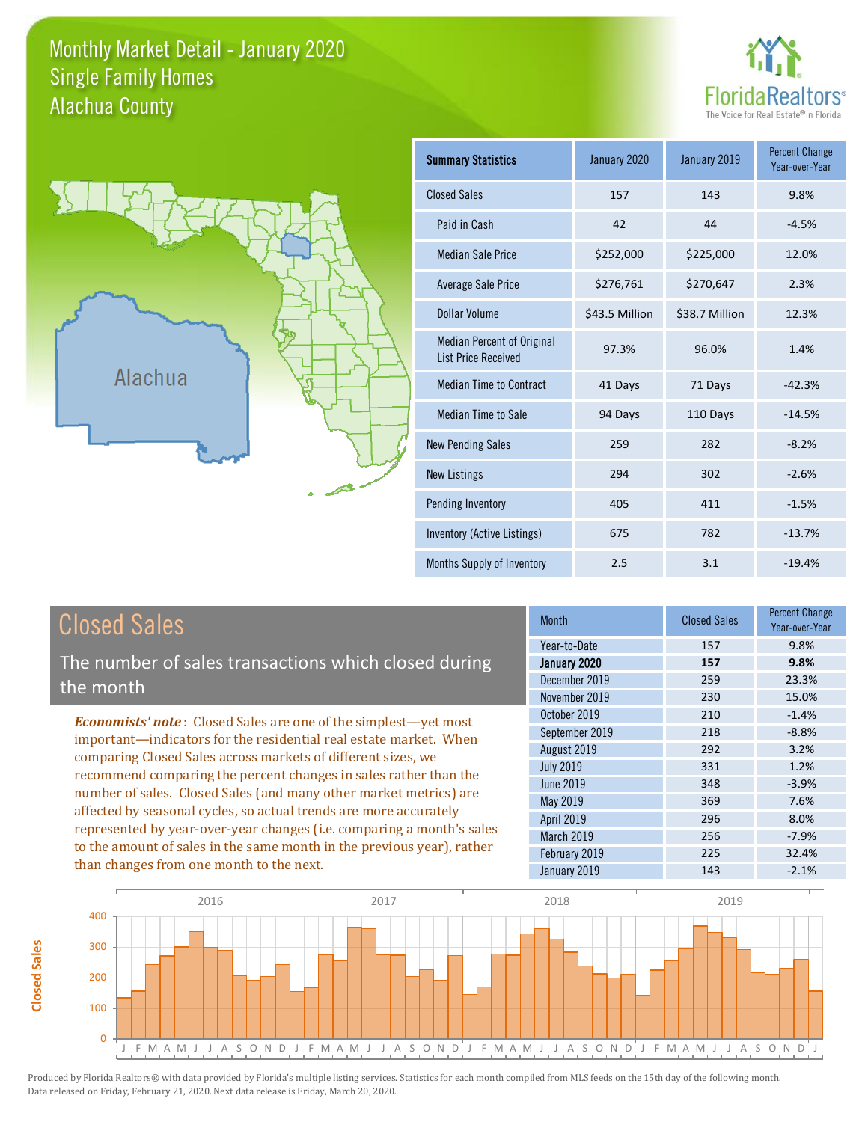#### Monthly Market Detail - January 2020 Alachua County Single Family Homes





**Closed Sales**

**Closed Sales** 

| <b>Summary Statistics</b>                                       | January 2019<br>January 2020 |                | <b>Percent Change</b><br>Year-over-Year |
|-----------------------------------------------------------------|------------------------------|----------------|-----------------------------------------|
| <b>Closed Sales</b>                                             | 157                          | 143            | 9.8%                                    |
| Paid in Cash                                                    | 42                           | 44             |                                         |
| <b>Median Sale Price</b>                                        | \$252,000                    | \$225,000      | 12.0%                                   |
| Average Sale Price                                              | \$276,761                    | \$270,647      | 2.3%                                    |
| Dollar Volume                                                   | \$43.5 Million               | \$38.7 Million | 12.3%                                   |
| <b>Median Percent of Original</b><br><b>List Price Received</b> | 97.3%                        | 96.0%          | 1.4%                                    |
| <b>Median Time to Contract</b>                                  | 41 Days                      | 71 Days        | $-42.3%$                                |
| <b>Median Time to Sale</b>                                      | 94 Days                      | 110 Days       | $-14.5%$                                |
| <b>New Pending Sales</b>                                        | 259                          | 282            | $-8.2%$                                 |
| <b>New Listings</b>                                             | 294                          | 302            | $-2.6%$                                 |
| Pending Inventory                                               | 405                          | 411            | $-1.5%$                                 |
| Inventory (Active Listings)                                     | 675                          | 782            | $-13.7%$                                |
| Months Supply of Inventory                                      | 2.5                          | 3.1            | $-19.4%$                                |

| <b>Closed Sales</b>                                                                                                                                                                                   | <b>Month</b>      | <b>Closed Sales</b> | <b>Percent Change</b><br>Year-over-Year |
|-------------------------------------------------------------------------------------------------------------------------------------------------------------------------------------------------------|-------------------|---------------------|-----------------------------------------|
|                                                                                                                                                                                                       | Year-to-Date      | 157                 | 9.8%                                    |
| The number of sales transactions which closed during                                                                                                                                                  | January 2020      | 157                 | 9.8%                                    |
| the month                                                                                                                                                                                             | December 2019     | 259                 | 23.3%                                   |
|                                                                                                                                                                                                       | November 2019     | 230                 | 15.0%                                   |
| <b>Economists' note:</b> Closed Sales are one of the simplest-yet most                                                                                                                                | October 2019      | 210                 | $-1.4%$                                 |
| important—indicators for the residential real estate market. When                                                                                                                                     | September 2019    | 218                 | $-8.8%$                                 |
| comparing Closed Sales across markets of different sizes, we<br>recommend comparing the percent changes in sales rather than the<br>number of sales. Closed Sales (and many other market metrics) are | August 2019       | 292                 | 3.2%                                    |
|                                                                                                                                                                                                       | <b>July 2019</b>  | 331                 | 1.2%                                    |
|                                                                                                                                                                                                       | <b>June 2019</b>  | 348                 | $-3.9%$                                 |
|                                                                                                                                                                                                       | May 2019          | 369                 | 7.6%                                    |
| affected by seasonal cycles, so actual trends are more accurately                                                                                                                                     | <b>April 2019</b> | 296                 | 8.0%                                    |
| represented by year-over-year changes (i.e. comparing a month's sales                                                                                                                                 | March 2019        | 256                 | $-7.9%$                                 |
| to the amount of sales in the same month in the previous year), rather                                                                                                                                | February 2019     | 225                 | 32.4%                                   |
| than changes from one month to the next.                                                                                                                                                              | January 2019      | 143                 | $-2.1%$                                 |

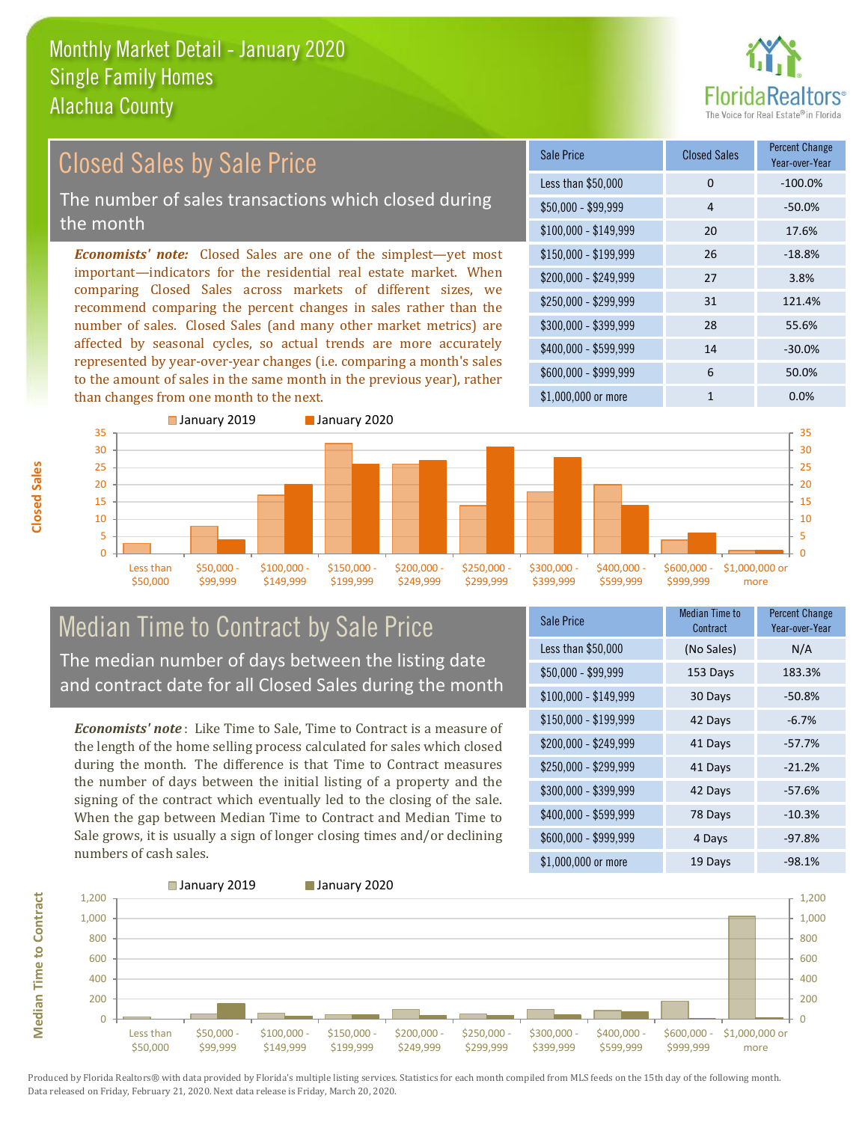

#### \$100,000 - \$149,999 20 17.6% Sale Price Closed Sales Percent Change Year-over-Year Less than \$50,000 0 0 -100.0%  $$50.000 - $99.999$  4 -50.0% \$150,000 - \$199,999 26 -18.8% \$200,000 - \$249,999 27 3.8% \$400,000 - \$599,999 14 -30.0% \$600,000 - \$999,999 6 50.0% *Economists' note:* Closed Sales are one of the simplest—yet most important—indicators for the residential real estate market. When comparing Closed Sales across markets of different sizes, we recommend comparing the percent changes in sales rather than the number of sales. Closed Sales (and many other market metrics) are affected by seasonal cycles, so actual trends are more accurately represented by year-over-year changes (i.e. comparing a month's sales to the amount of sales in the same month in the previous year), rather than changes from one month to the next. \$1,000,000 or more 1 0.0% \$250,000 - \$299,999 31 121.4% \$300,000 - \$399,999 28 55.6% Closed Sales by Sale Price The number of sales transactions which closed during the month



### Median Time to Contract by Sale Price The median number of days between the listing date and contract date for all Closed Sales during the month

*Economists' note* : Like Time to Sale, Time to Contract is a measure of the length of the home selling process calculated for sales which closed during the month. The difference is that Time to Contract measures the number of days between the initial listing of a property and the signing of the contract which eventually led to the closing of the sale. When the gap between Median Time to Contract and Median Time to Sale grows, it is usually a sign of longer closing times and/or declining numbers of cash sales.

| Sale Price            | Median Time to<br>Contract | <b>Percent Change</b><br>Year-over-Year |
|-----------------------|----------------------------|-----------------------------------------|
| Less than \$50,000    | (No Sales)                 | N/A                                     |
| \$50,000 - \$99,999   | 153 Days                   | 183.3%                                  |
| $$100,000 - $149,999$ | 30 Days                    | $-50.8%$                                |
| $$150,000 - $199,999$ | 42 Days                    | $-6.7%$                                 |
| \$200,000 - \$249,999 | 41 Days                    | $-57.7%$                                |
| \$250,000 - \$299,999 | 41 Days                    | $-21.2%$                                |
| \$300,000 - \$399,999 | 42 Days                    | $-57.6%$                                |
| \$400,000 - \$599,999 | 78 Days                    | $-10.3%$                                |
| \$600,000 - \$999,999 | 4 Days                     | $-97.8%$                                |
| \$1,000,000 or more   | 19 Days                    | $-98.1%$                                |



**Closed Sales**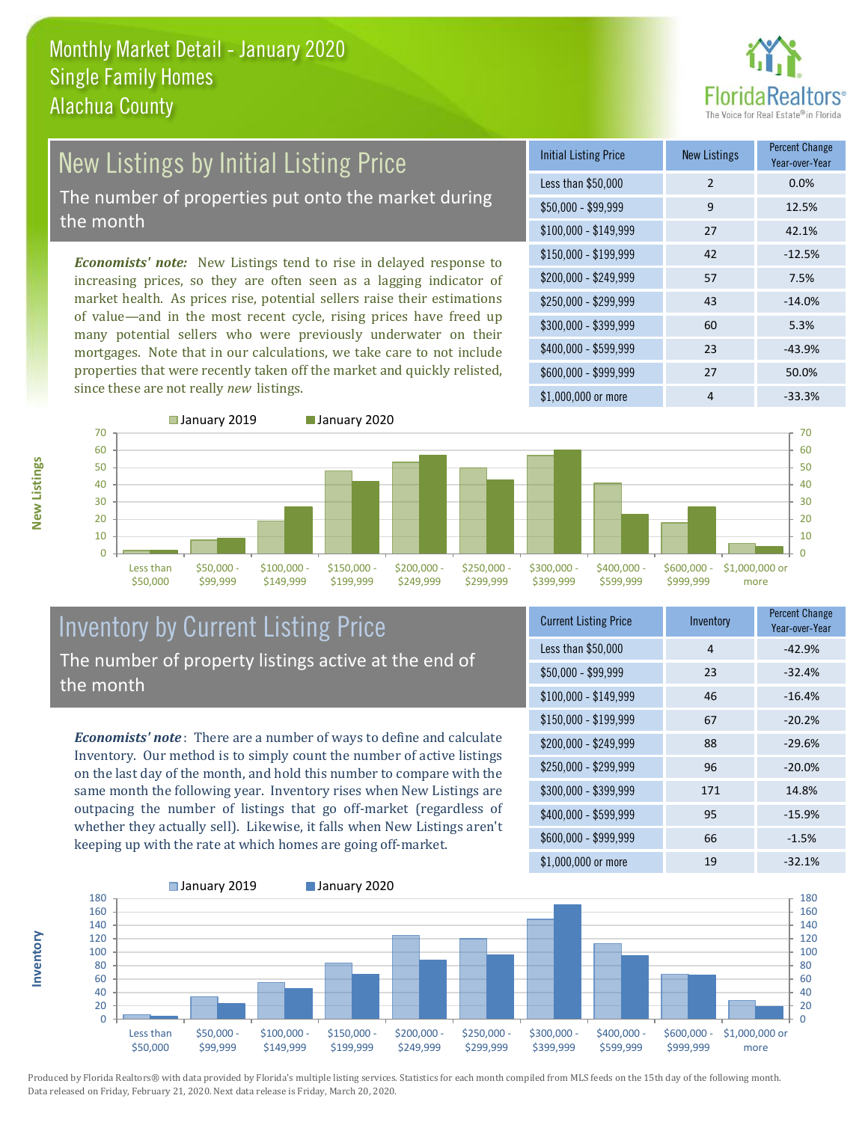

## New Listings by Initial Listing Price The number of properties put onto the market during

the month

*Economists' note:* New Listings tend to rise in delayed response to increasing prices, so they are often seen as a lagging indicator of market health. As prices rise, potential sellers raise their estimations of value—and in the most recent cycle, rising prices have freed up many potential sellers who were previously underwater on their mortgages. Note that in our calculations, we take care to not include properties that were recently taken off the market and quickly relisted, since these are not really *new* listings.

| <b>Initial Listing Price</b> | <b>New Listings</b> | <b>Percent Change</b><br>Year-over-Year |
|------------------------------|---------------------|-----------------------------------------|
| Less than \$50,000           | $\mathcal{P}$       | 0.0%                                    |
| $$50,000 - $99,999$          | 9                   | 12.5%                                   |
| $$100,000 - $149,999$        | 27                  | 42.1%                                   |
| $$150,000 - $199,999$        | 42                  | $-12.5%$                                |
| \$200,000 - \$249,999        | 57                  | 7.5%                                    |
| \$250,000 - \$299,999        | 43                  | $-14.0%$                                |
| \$300,000 - \$399,999        | 60                  | 5.3%                                    |
| \$400,000 - \$599,999        | 23                  | $-43.9%$                                |
| \$600,000 - \$999,999        | 27                  | 50.0%                                   |
| \$1,000,000 or more          | 4                   | $-33.3%$                                |



#### Inventory by Current Listing Price The number of property listings active at the end of the month

*Economists' note* : There are a number of ways to define and calculate Inventory. Our method is to simply count the number of active listings on the last day of the month, and hold this number to compare with the same month the following year. Inventory rises when New Listings are outpacing the number of listings that go off-market (regardless of whether they actually sell). Likewise, it falls when New Listings aren't keeping up with the rate at which homes are going off-market.

| <b>Current Listing Price</b> | Inventory | <b>Percent Change</b><br>Year-over-Year |
|------------------------------|-----------|-----------------------------------------|
| Less than \$50,000           | 4         | $-42.9%$                                |
| $$50,000 - $99,999$          | 23        | $-32.4%$                                |
| $$100,000 - $149,999$        | 46        | $-16.4%$                                |
| $$150,000 - $199,999$        | 67        | $-20.2%$                                |
| \$200,000 - \$249,999        | 88        | $-29.6%$                                |
| \$250,000 - \$299,999        | 96        | $-20.0%$                                |
| \$300,000 - \$399,999        | 171       | 14.8%                                   |
| \$400,000 - \$599,999        | 95        | $-15.9%$                                |
| \$600,000 - \$999,999        | 66        | $-1.5%$                                 |
| \$1,000,000 or more          | 19        | $-32.1%$                                |



■ January 2019 **■ January 2020** 

Produced by Florida Realtors® with data provided by Florida's multiple listing services. Statistics for each month compiled from MLS feeds on the 15th day of the following month. Data released on Friday, February 21, 2020. Next data release is Friday, March 20, 2020.

**New Listings**

**Inventory**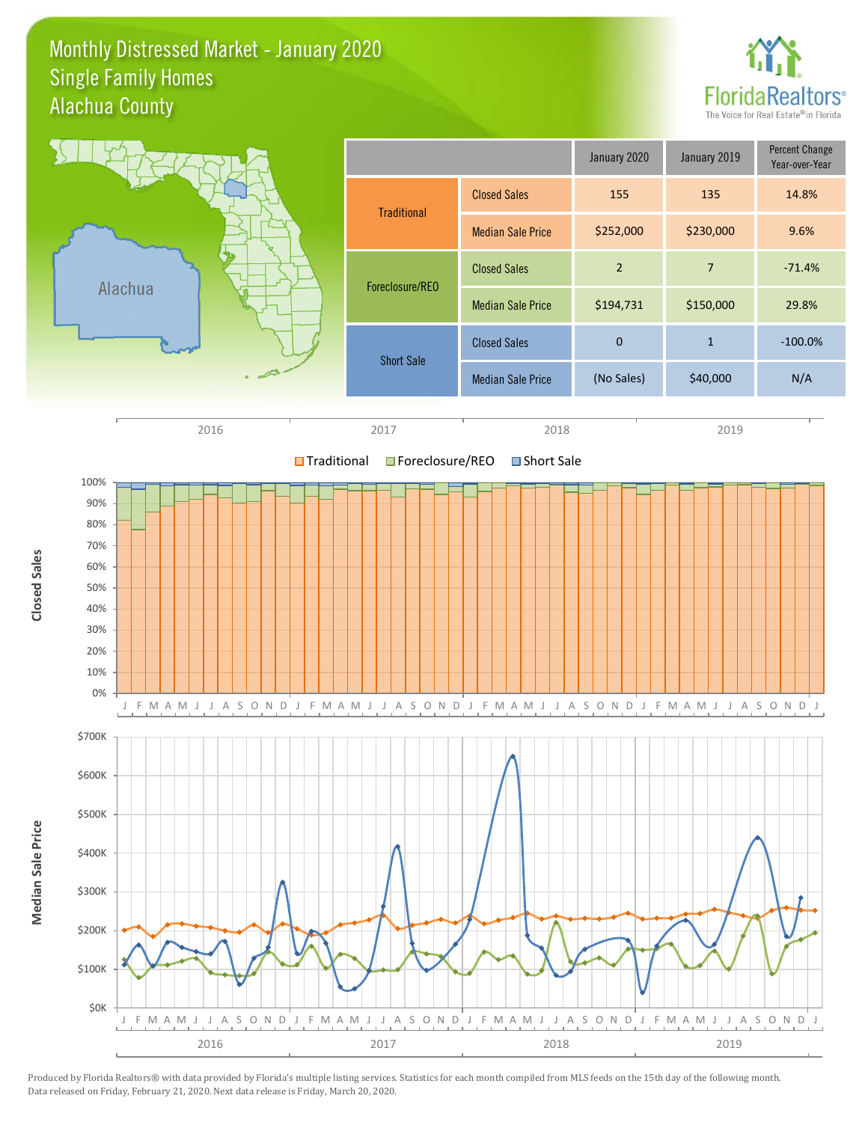#### Monthly Distressed Market - January 2020 Alachua County Single Family Homes



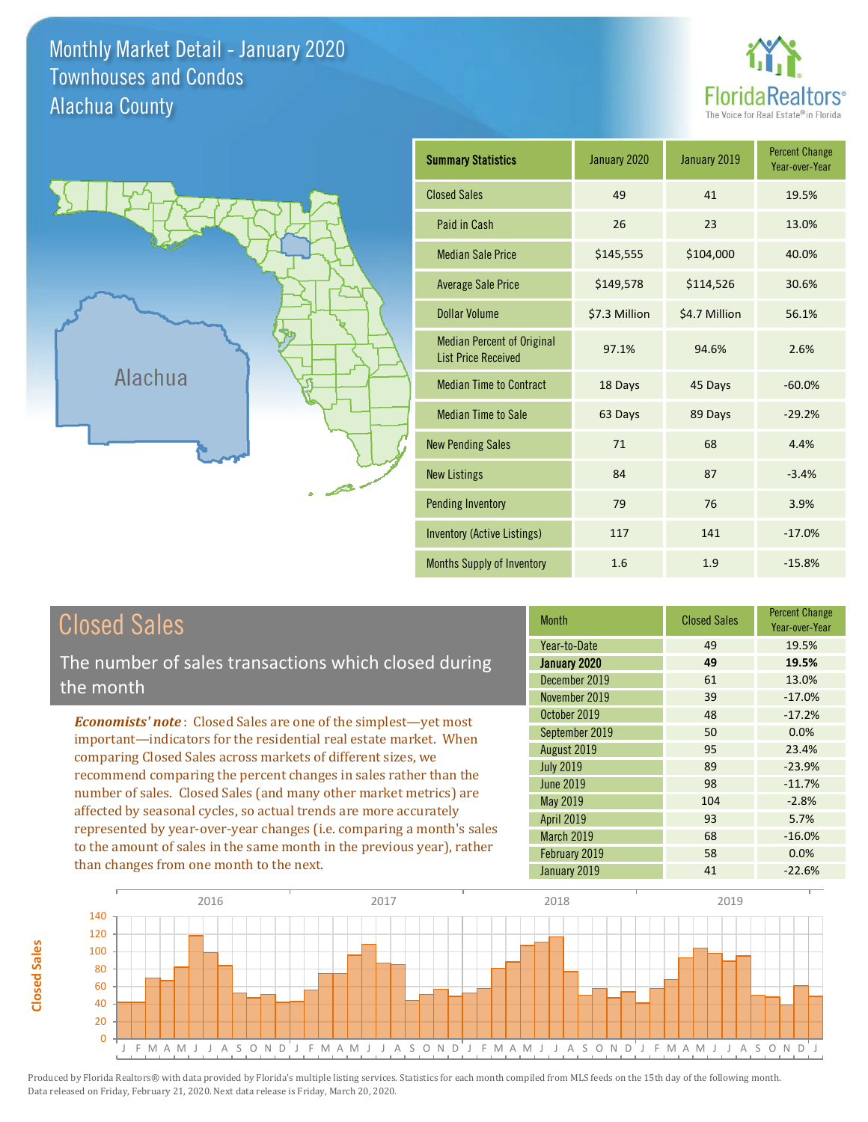Monthly Market Detail - January 2020 Alachua County Townhouses and Condos





**Closed Sales**

**Closed Sales** 

| <b>Summary Statistics</b>                                       | January 2020<br>January 2019 |               | <b>Percent Change</b><br>Year-over-Year |
|-----------------------------------------------------------------|------------------------------|---------------|-----------------------------------------|
| <b>Closed Sales</b>                                             | 49                           | 41            | 19.5%                                   |
| Paid in Cash                                                    | 26                           | 23            | 13.0%                                   |
| <b>Median Sale Price</b>                                        | \$145,555                    | \$104,000     | 40.0%                                   |
| <b>Average Sale Price</b>                                       | \$149,578                    | \$114,526     | 30.6%                                   |
| <b>Dollar Volume</b>                                            | \$7.3 Million                | \$4.7 Million | 56.1%                                   |
| <b>Median Percent of Original</b><br><b>List Price Received</b> | 97.1%                        | 94.6%         | 2.6%                                    |
| <b>Median Time to Contract</b>                                  | 18 Days                      | 45 Days       | $-60.0%$                                |
| <b>Median Time to Sale</b>                                      | 63 Days<br>89 Days           |               | $-29.2%$                                |
| <b>New Pending Sales</b>                                        | 71                           | 68            | 4.4%                                    |
| <b>New Listings</b>                                             | 84                           | 87            | $-3.4%$                                 |
| <b>Pending Inventory</b>                                        | 79                           | 76            | 3.9%                                    |
| <b>Inventory (Active Listings)</b>                              | 117                          | 141           | $-17.0%$                                |
| <b>Months Supply of Inventory</b>                               | 1.6                          | 1.9           | $-15.8%$                                |

| <b>Closed Sales</b>                                                                                                                                                                                   | <b>Month</b>      | <b>Closed Sales</b> | <b>Percent Change</b><br>Year-over-Year |
|-------------------------------------------------------------------------------------------------------------------------------------------------------------------------------------------------------|-------------------|---------------------|-----------------------------------------|
|                                                                                                                                                                                                       | Year-to-Date      | 49                  | 19.5%                                   |
| The number of sales transactions which closed during                                                                                                                                                  | January 2020      | 49                  | 19.5%                                   |
| the month                                                                                                                                                                                             | December 2019     | 61                  | 13.0%                                   |
|                                                                                                                                                                                                       | November 2019     | 39                  | $-17.0%$                                |
| <b>Economists' note:</b> Closed Sales are one of the simplest-yet most                                                                                                                                | October 2019      | 48                  | $-17.2%$                                |
| important—indicators for the residential real estate market. When                                                                                                                                     | September 2019    | 50                  | 0.0%                                    |
|                                                                                                                                                                                                       | August 2019       | 95                  | 23.4%                                   |
| comparing Closed Sales across markets of different sizes, we<br>recommend comparing the percent changes in sales rather than the<br>number of sales. Closed Sales (and many other market metrics) are | <b>July 2019</b>  | 89                  | $-23.9%$                                |
|                                                                                                                                                                                                       | <b>June 2019</b>  | 98                  | $-11.7%$                                |
|                                                                                                                                                                                                       | May 2019          | 104                 | $-2.8%$                                 |
| affected by seasonal cycles, so actual trends are more accurately                                                                                                                                     | <b>April 2019</b> | 93                  | 5.7%                                    |
| represented by year-over-year changes (i.e. comparing a month's sales                                                                                                                                 | <b>March 2019</b> | 68                  | $-16.0%$                                |
| to the amount of sales in the same month in the previous year), rather<br>than changes from one month to the next.                                                                                    | February 2019     | 58                  | 0.0%                                    |
|                                                                                                                                                                                                       | January 2019      | 41                  | $-22.6%$                                |

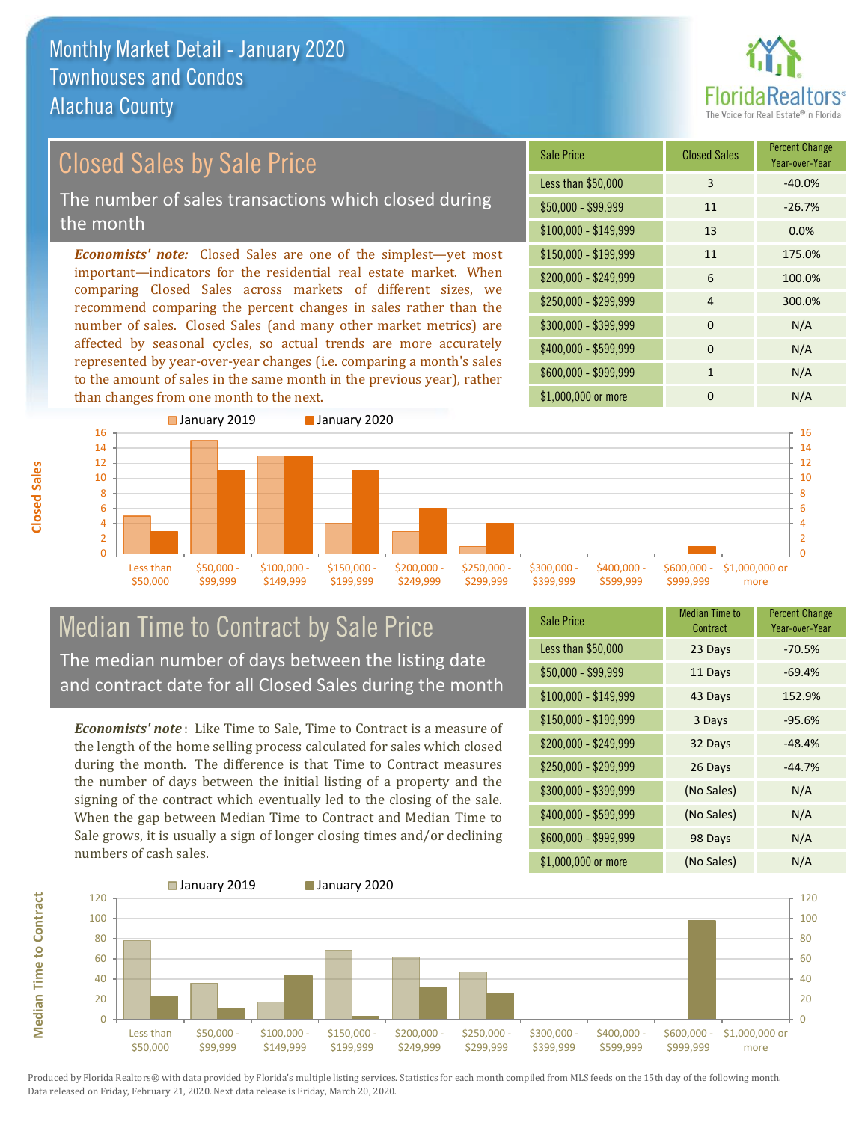

#### *Economists' note:* Closed Sales are one of the simplest—yet most important—indicators for the residential real estate market. When comparing Closed Sales across markets of different sizes, we Closed Sales by Sale Price The number of sales transactions which closed during the month

recommend comparing the percent changes in sales rather than the number of sales. Closed Sales (and many other market metrics) are affected by seasonal cycles, so actual trends are more accurately represented by year-over-year changes (i.e. comparing a month's sales to the amount of sales in the same month in the previous year), rather than changes from one month to the next.





#### Median Time to Contract by Sale Price The median number of days between the listing date and contract date for all Closed Sales during the month

*Economists' note* : Like Time to Sale, Time to Contract is a measure of the length of the home selling process calculated for sales which closed during the month. The difference is that Time to Contract measures the number of days between the initial listing of a property and the signing of the contract which eventually led to the closing of the sale. When the gap between Median Time to Contract and Median Time to Sale grows, it is usually a sign of longer closing times and/or declining numbers of cash sales.

| <b>Sale Price</b>     | <b>Median Time to</b><br>Contract | <b>Percent Change</b><br>Year-over-Year |
|-----------------------|-----------------------------------|-----------------------------------------|
| Less than \$50,000    | 23 Days                           | $-70.5%$                                |
| $$50,000 - $99,999$   | 11 Days                           | $-69.4%$                                |
| $$100,000 - $149,999$ | 43 Days                           | 152.9%                                  |
| $$150,000 - $199,999$ | 3 Days                            | $-95.6%$                                |
| \$200,000 - \$249,999 | 32 Days                           | $-48.4%$                                |
| \$250,000 - \$299,999 | 26 Days                           | $-44.7%$                                |
| \$300,000 - \$399,999 | (No Sales)                        | N/A                                     |
| $$400,000 - $599,999$ | (No Sales)                        | N/A                                     |
| \$600,000 - \$999,999 | 98 Days                           | N/A                                     |
| \$1,000,000 or more   | (No Sales)                        | N/A                                     |



Produced by Florida Realtors® with data provided by Florida's multiple listing services. Statistics for each month compiled from MLS feeds on the 15th day of the following month. Data released on Friday, February 21, 2020. Next data release is Friday, March 20, 2020.

**Median Time to Contract**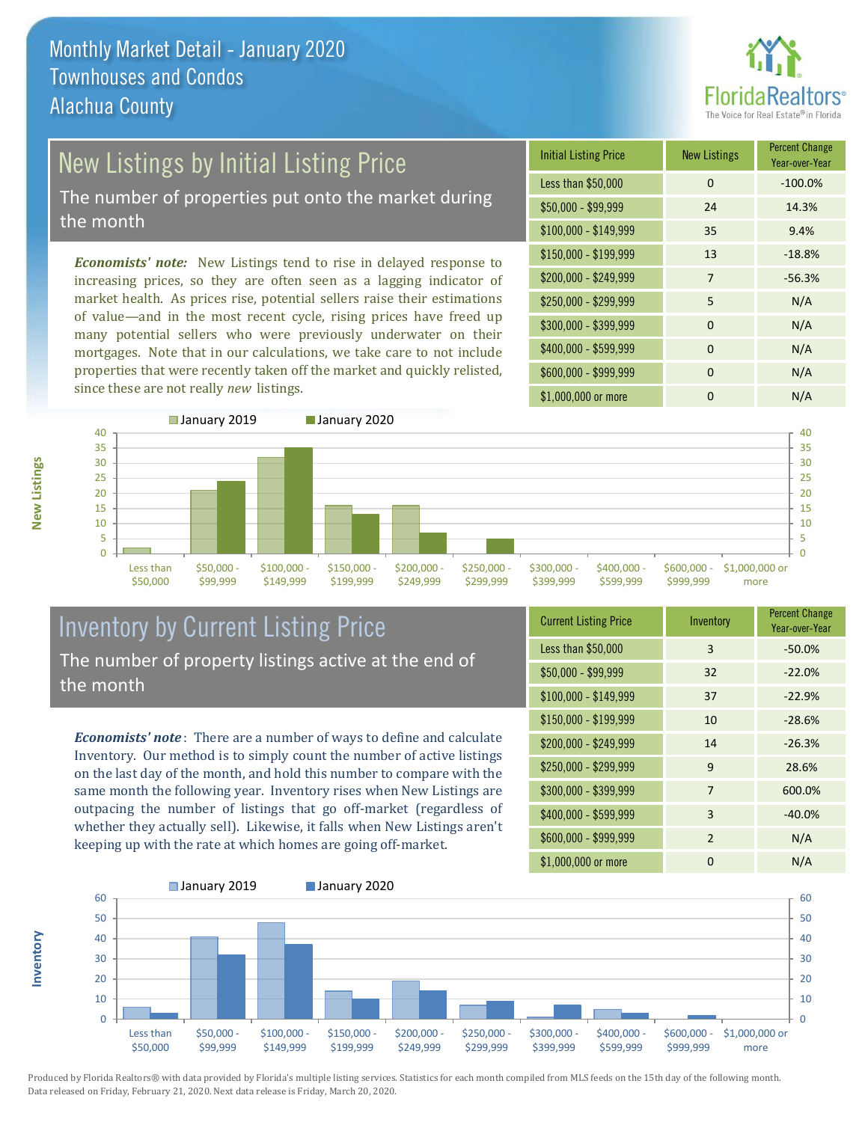

# New Listings by Initial Listing Price

The number of properties put onto the market during the month

*Economists' note:* New Listings tend to rise in delayed response to increasing prices, so they are often seen as a lagging indicator of market health. As prices rise, potential sellers raise their estimations of value—and in the most recent cycle, rising prices have freed up many potential sellers who were previously underwater on their mortgages. Note that in our calculations, we take care to not include properties that were recently taken off the market and quickly relisted, since these are not really *new* listings.

| <b>Initial Listing Price</b> | <b>New Listings</b> | <b>Percent Change</b><br>Year-over-Year |
|------------------------------|---------------------|-----------------------------------------|
| Less than \$50,000           | $\Omega$            | $-100.0%$                               |
| $$50,000 - $99,999$          | 24                  | 14.3%                                   |
| $$100,000 - $149,999$        | 35                  | 9.4%                                    |
| $$150,000 - $199,999$        | 13                  | $-18.8%$                                |
| \$200,000 - \$249,999        | 7                   | $-56.3%$                                |
| \$250,000 - \$299,999        | 5                   | N/A                                     |
| \$300,000 - \$399,999        | $\Omega$            | N/A                                     |
| \$400,000 - \$599,999        | $\Omega$            | N/A                                     |
| \$600,000 - \$999,999        | $\Omega$            | N/A                                     |
| \$1,000,000 or more          | ი                   | N/A                                     |



### Inventory by Current Listing Price The number of property listings active at the end of the month

*Economists' note* : There are a number of ways to define and calculate Inventory. Our method is to simply count the number of active listings on the last day of the month, and hold this number to compare with the same month the following year. Inventory rises when New Listings are outpacing the number of listings that go off-market (regardless of whether they actually sell). Likewise, it falls when New Listings aren't keeping up with the rate at which homes are going off-market.

| <b>Current Listing Price</b> | Inventory | <b>Percent Change</b><br>Year-over-Year |
|------------------------------|-----------|-----------------------------------------|
| Less than \$50,000           | 3         | $-50.0%$                                |
| $$50,000 - $99,999$          | 32        | $-22.0%$                                |
| $$100,000 - $149,999$        | 37        | $-22.9%$                                |
| $$150,000 - $199,999$        | 10        | $-28.6%$                                |
| \$200,000 - \$249,999        | 14        | $-26.3%$                                |
| \$250,000 - \$299,999        | 9         | 28.6%                                   |
| \$300,000 - \$399,999        | 7         | 600.0%                                  |
| \$400,000 - \$599,999        | 3         | $-40.0%$                                |
| \$600,000 - \$999,999        | 2         | N/A                                     |
| \$1,000,000 or more          | ŋ         | N/A                                     |



Produced by Florida Realtors® with data provided by Florida's multiple listing services. Statistics for each month compiled from MLS feeds on the 15th day of the following month. Data released on Friday, February 21, 2020. Next data release is Friday, March 20, 2020.

**Inventory**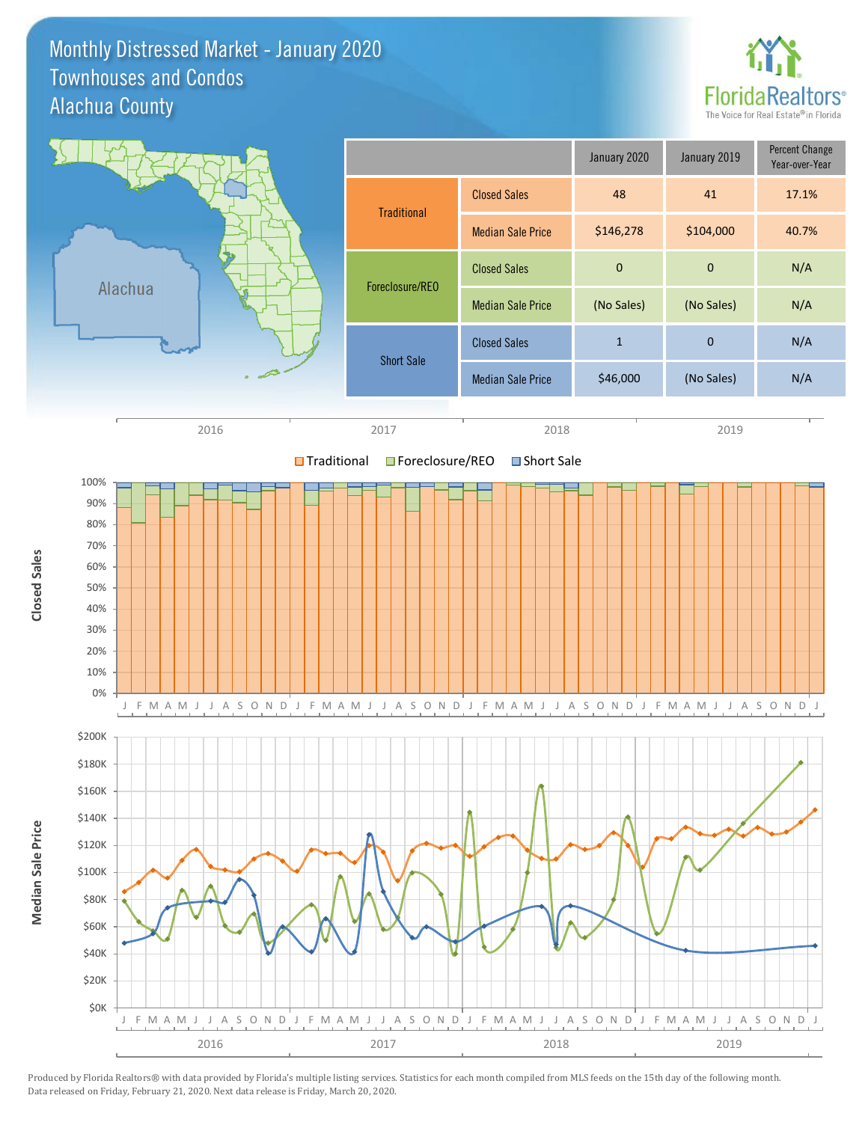#### Monthly Distressed Market - January 2020 Alachua County Townhouses and Condos



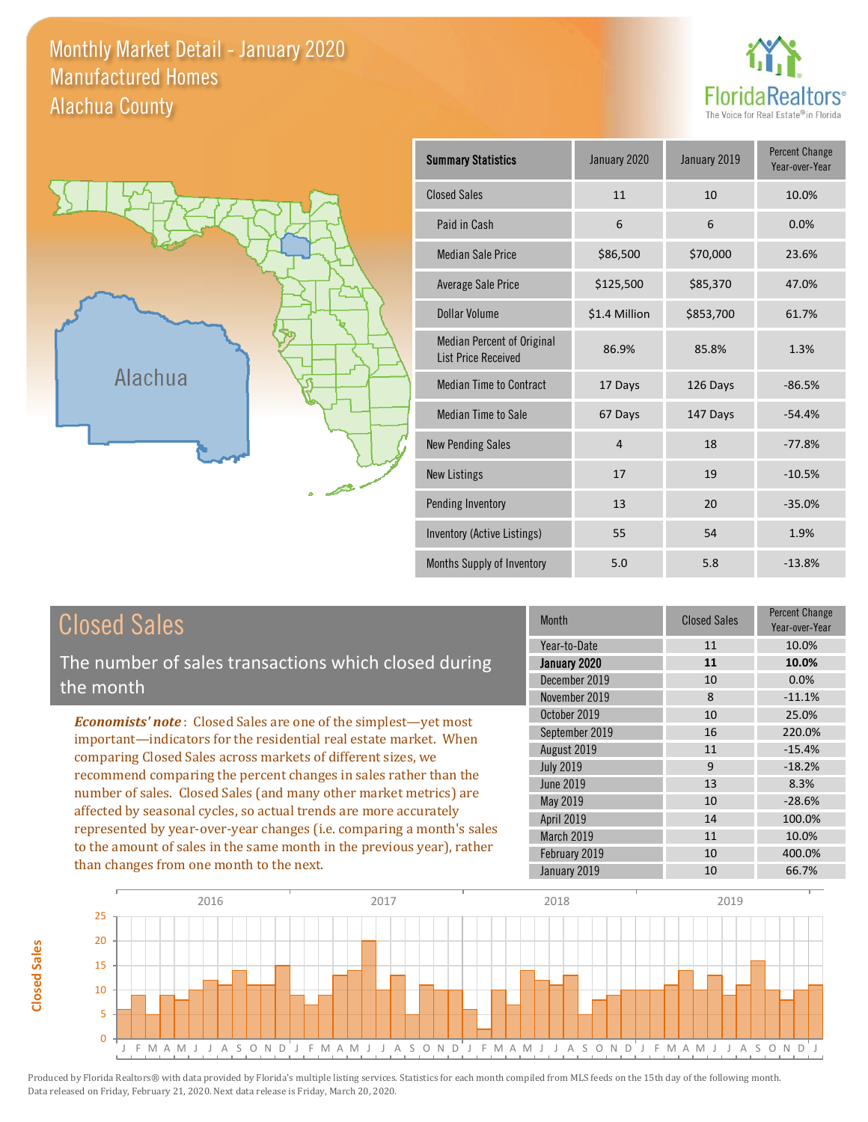#### Monthly Market Detail - January 2020 Alachua County Manufactured Homes





**Closed Sales**

**Closed Sales** 

| <b>Summary Statistics</b>                                | January 2020<br>January 2019 |           | <b>Percent Change</b><br>Year-over-Year |
|----------------------------------------------------------|------------------------------|-----------|-----------------------------------------|
| <b>Closed Sales</b>                                      | 11                           | 10        | 10.0%                                   |
| Paid in Cash                                             | 6                            | 6         | 0.0%                                    |
| <b>Median Sale Price</b>                                 | \$86,500                     | \$70,000  | 23.6%                                   |
| Average Sale Price                                       | \$125,500                    | \$85,370  | 47.0%                                   |
| Dollar Volume                                            | \$1.4 Million                | \$853,700 | 61.7%                                   |
| Median Percent of Original<br><b>List Price Received</b> | 86.9%                        | 85.8%     | 1.3%                                    |
| <b>Median Time to Contract</b>                           | 17 Days                      | 126 Days  | $-86.5%$                                |
| <b>Median Time to Sale</b>                               | 67 Days                      | 147 Days  | $-54.4%$                                |
| <b>New Pending Sales</b>                                 | $\overline{4}$               | 18        | $-77.8%$                                |
| <b>New Listings</b>                                      | 17                           | 19        | $-10.5%$                                |
| Pending Inventory                                        | 13                           | 20        | $-35.0%$                                |
| Inventory (Active Listings)                              | 55                           | 54        | 1.9%                                    |
| Months Supply of Inventory                               | 5.0                          | 5.8       | $-13.8%$                                |

| <b>Closed Sales</b>                                                                                                                                                                                                                                                        | <b>Month</b>     | <b>Closed Sales</b> | <b>Percent Change</b><br>Year-over-Year |
|----------------------------------------------------------------------------------------------------------------------------------------------------------------------------------------------------------------------------------------------------------------------------|------------------|---------------------|-----------------------------------------|
|                                                                                                                                                                                                                                                                            | Year-to-Date     | 11                  | 10.0%                                   |
| The number of sales transactions which closed during                                                                                                                                                                                                                       | January 2020     | 11                  | 10.0%                                   |
| the month                                                                                                                                                                                                                                                                  | December 2019    | 10                  | 0.0%                                    |
|                                                                                                                                                                                                                                                                            | November 2019    | 8                   | $-11.1%$                                |
| <b>Economists' note:</b> Closed Sales are one of the simplest—yet most                                                                                                                                                                                                     | October 2019     | 10                  | 25.0%                                   |
| important-indicators for the residential real estate market. When                                                                                                                                                                                                          | September 2019   | 16                  | 220.0%                                  |
| comparing Closed Sales across markets of different sizes, we<br>recommend comparing the percent changes in sales rather than the<br>number of sales. Closed Sales (and many other market metrics) are<br>affected by seasonal cycles, so actual trends are more accurately | August 2019      | 11                  | $-15.4%$                                |
|                                                                                                                                                                                                                                                                            | <b>July 2019</b> | 9                   | $-18.2%$                                |
|                                                                                                                                                                                                                                                                            | <b>June 2019</b> | 13                  | 8.3%                                    |
|                                                                                                                                                                                                                                                                            | May 2019         | 10                  | $-28.6%$                                |
|                                                                                                                                                                                                                                                                            | April 2019       | 14                  | 100.0%                                  |
| represented by year-over-year changes (i.e. comparing a month's sales                                                                                                                                                                                                      | March 2019       | 11                  | 10.0%                                   |
| to the amount of sales in the same month in the previous year), rather                                                                                                                                                                                                     | February 2019    | 10                  | 400.0%                                  |
| than changes from one month to the next.                                                                                                                                                                                                                                   | January 2019     | 10                  | 66.7%                                   |

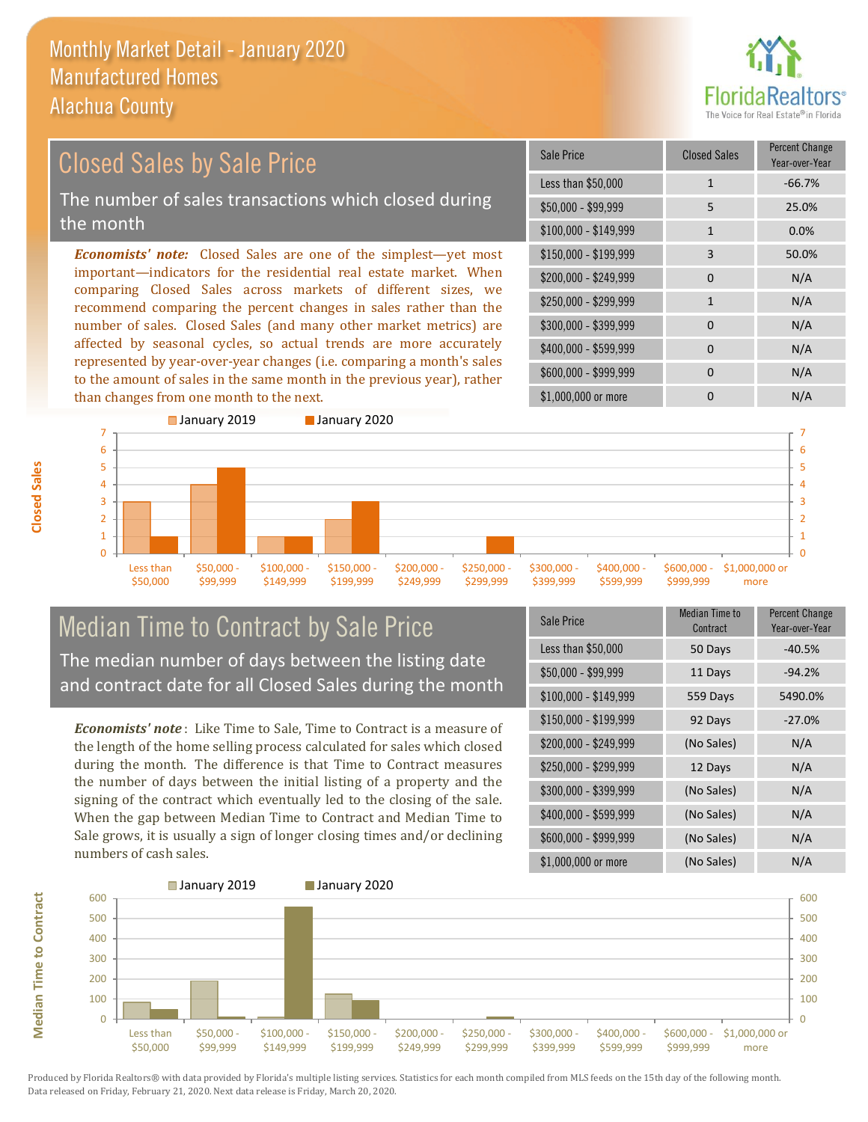

#### $$100,000 - $149,999$  1 0.0% Sale Price Closed Sales Percent Change Year-over-Year Less than \$50,000 1 1 -66.7% \$50,000 - \$99,999 5 25.0% \$150,000 - \$199,999 3 50.0% \$200,000 - \$249,999 0 0 N/A  $$400,000 - $599,999$  0 N/A \$600,000 - \$999,999 0 0 N/A *Economists' note:* Closed Sales are one of the simplest—yet most important—indicators for the residential real estate market. When comparing Closed Sales across markets of different sizes, we recommend comparing the percent changes in sales rather than the number of sales. Closed Sales (and many other market metrics) are affected by seasonal cycles, so actual trends are more accurately represented by year-over-year changes (i.e. comparing a month's sales to the amount of sales in the same month in the previous year), rather than changes from one month to the next. \$1,000,000 or more 0 0 N/A \$250,000 - \$299,999 1 1 N/A \$300,000 - \$399,999 0 0 N/A Closed Sales by Sale Price The number of sales transactions which closed during the month



### Median Time to Contract by Sale Price The median number of days between the listing date and contract date for all Closed Sales during the month

*Economists' note* : Like Time to Sale, Time to Contract is a measure of the length of the home selling process calculated for sales which closed during the month. The difference is that Time to Contract measures the number of days between the initial listing of a property and the signing of the contract which eventually led to the closing of the sale. When the gap between Median Time to Contract and Median Time to Sale grows, it is usually a sign of longer closing times and/or declining numbers of cash sales.

| Sale Price            | <b>Median Time to</b><br>Contract | <b>Percent Change</b><br>Year-over-Year |
|-----------------------|-----------------------------------|-----------------------------------------|
| Less than \$50,000    | 50 Days                           | $-40.5%$                                |
| \$50,000 - \$99,999   | 11 Days                           | $-94.2%$                                |
| $$100,000 - $149,999$ | 559 Days                          | 5490.0%                                 |
| $$150,000 - $199,999$ | 92 Days                           | $-27.0%$                                |
| \$200,000 - \$249,999 | (No Sales)                        | N/A                                     |
| \$250,000 - \$299,999 | 12 Days                           | N/A                                     |
| \$300,000 - \$399,999 | (No Sales)                        | N/A                                     |
| \$400,000 - \$599,999 | (No Sales)                        | N/A                                     |
| \$600,000 - \$999,999 | (No Sales)                        | N/A                                     |
| \$1,000,000 or more   | (No Sales)                        | N/A                                     |



Produced by Florida Realtors® with data provided by Florida's multiple listing services. Statistics for each month compiled from MLS feeds on the 15th day of the following month. Data released on Friday, February 21, 2020. Next data release is Friday, March 20, 2020.

**Median Time to Contract**

**Median Time to Contract**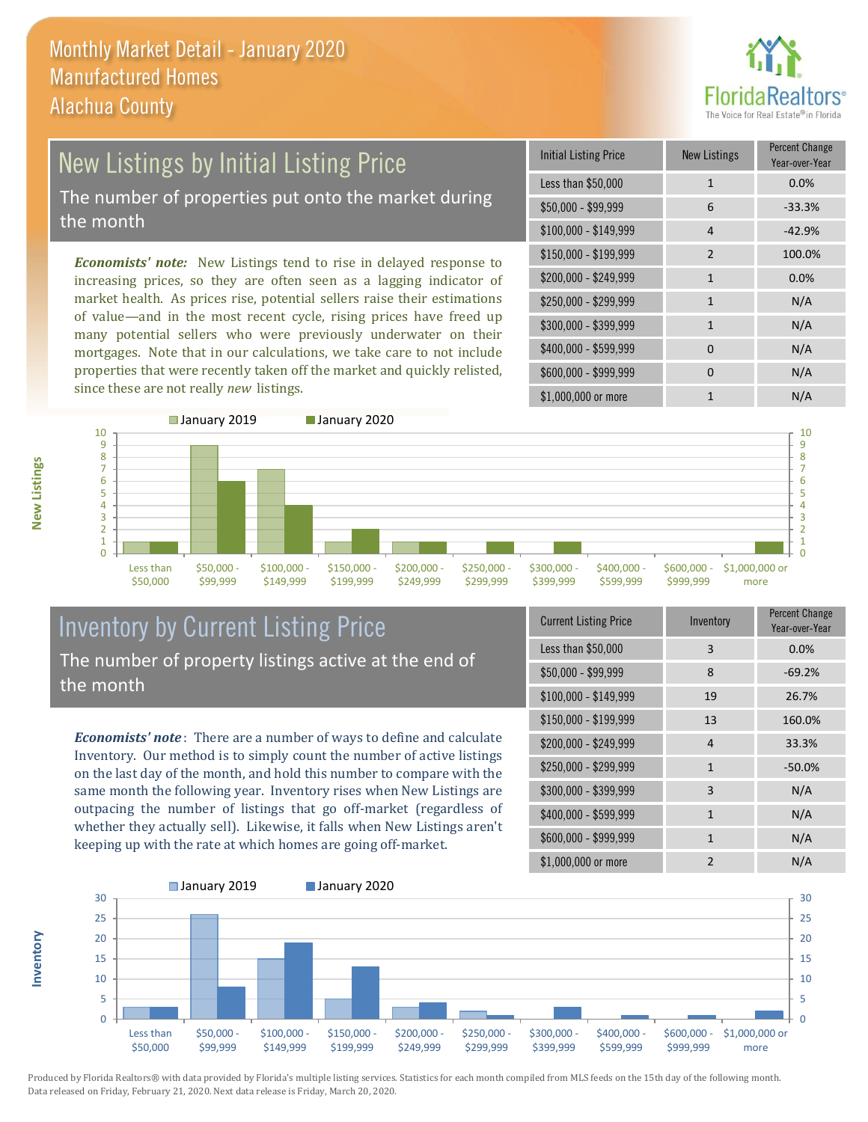

### New Listings by Initial Listing Price The number of properties put onto the market during the month

*Economists' note:* New Listings tend to rise in delayed response to increasing prices, so they are often seen as a lagging indicator of market health. As prices rise, potential sellers raise their estimations of value—and in the most recent cycle, rising prices have freed up many potential sellers who were previously underwater on their mortgages. Note that in our calculations, we take care to not include properties that were recently taken off the market and quickly relisted, since these are not really *new* listings.

| <b>Initial Listing Price</b> | <b>New Listings</b> | <b>Percent Change</b><br>Year-over-Year |
|------------------------------|---------------------|-----------------------------------------|
| Less than \$50,000           | $\mathbf{1}$        | 0.0%                                    |
| $$50,000 - $99,999$          | 6                   | $-33.3%$                                |
| $$100,000 - $149,999$        | 4                   | $-42.9%$                                |
| \$150,000 - \$199,999        | $\overline{2}$      | 100.0%                                  |
| \$200,000 - \$249,999        | $\mathbf{1}$        | 0.0%                                    |
| \$250,000 - \$299,999        | $\mathbf{1}$        | N/A                                     |
| \$300,000 - \$399,999        | $\mathbf{1}$        | N/A                                     |
| \$400,000 - \$599,999        | $\Omega$            | N/A                                     |
| \$600,000 - \$999,999        | 0                   | N/A                                     |
| \$1,000,000 or more          | 1                   | N/A                                     |



### Inventory by Current Listing Price The number of property listings active at the end of the month

*Economists' note* : There are a number of ways to define and calculate Inventory. Our method is to simply count the number of active listings on the last day of the month, and hold this number to compare with the same month the following year. Inventory rises when New Listings are outpacing the number of listings that go off-market (regardless of whether they actually sell). Likewise, it falls when New Listings aren't keeping up with the rate at which homes are going off-market.

| <b>Current Listing Price</b> | Inventory      | Percent Change<br>Year-over-Year |
|------------------------------|----------------|----------------------------------|
| Less than \$50,000           | 3              | 0.0%                             |
| $$50,000 - $99,999$          | 8              | $-69.2%$                         |
| $$100,000 - $149,999$        | 19             | 26.7%                            |
| \$150,000 - \$199,999        | 13             | 160.0%                           |
| \$200,000 - \$249,999        | 4              | 33.3%                            |
| \$250,000 - \$299,999        | $\mathbf{1}$   | $-50.0%$                         |
| \$300,000 - \$399,999        | 3              | N/A                              |
| \$400,000 - \$599,999        | $\mathbf{1}$   | N/A                              |
| \$600,000 - \$999,999        | 1              | N/A                              |
| \$1,000,000 or more          | $\mathfrak{p}$ | N/A                              |



Produced by Florida Realtors® with data provided by Florida's multiple listing services. Statistics for each month compiled from MLS feeds on the 15th day of the following month. Data released on Friday, February 21, 2020. Next data release is Friday, March 20, 2020.

**Inventory**